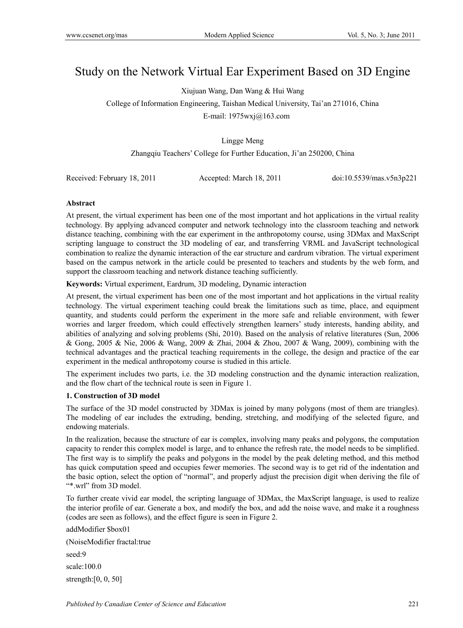# Study on the Network Virtual Ear Experiment Based on 3D Engine

Xiujuan Wang, Dan Wang & Hui Wang

College of Information Engineering, Taishan Medical University, Tai'an 271016, China

E-mail: 1975wxj@163.com

## Lingge Meng

Zhangqiu Teachers' College for Further Education, Ji'an 250200, China

Received: February 18, 2011 Accepted: March 18, 2011 doi:10.5539/mas.v5n3p221

## **Abstract**

At present, the virtual experiment has been one of the most important and hot applications in the virtual reality technology. By applying advanced computer and network technology into the classroom teaching and network distance teaching, combining with the ear experiment in the anthropotomy course, using 3DMax and MaxScript scripting language to construct the 3D modeling of ear, and transferring VRML and JavaScript technological combination to realize the dynamic interaction of the ear structure and eardrum vibration. The virtual experiment based on the campus network in the article could be presented to teachers and students by the web form, and support the classroom teaching and network distance teaching sufficiently.

**Keywords:** Virtual experiment, Eardrum, 3D modeling, Dynamic interaction

At present, the virtual experiment has been one of the most important and hot applications in the virtual reality technology. The virtual experiment teaching could break the limitations such as time, place, and equipment quantity, and students could perform the experiment in the more safe and reliable environment, with fewer worries and larger freedom, which could effectively strengthen learners' study interests, handing ability, and abilities of analyzing and solving problems (Shi, 2010). Based on the analysis of relative literatures (Sun, 2006 & Gong, 2005 & Nie, 2006 & Wang, 2009 & Zhai, 2004 & Zhou, 2007 & Wang, 2009), combining with the technical advantages and the practical teaching requirements in the college, the design and practice of the ear experiment in the medical anthropotomy course is studied in this article.

The experiment includes two parts, i.e. the 3D modeling construction and the dynamic interaction realization, and the flow chart of the technical route is seen in Figure 1.

#### **1. Construction of 3D model**

The surface of the 3D model constructed by 3DMax is joined by many polygons (most of them are triangles). The modeling of ear includes the extruding, bending, stretching, and modifying of the selected figure, and endowing materials.

In the realization, because the structure of ear is complex, involving many peaks and polygons, the computation capacity to render this complex model is large, and to enhance the refresh rate, the model needs to be simplified. The first way is to simplify the peaks and polygons in the model by the peak deleting method, and this method has quick computation speed and occupies fewer memories. The second way is to get rid of the indentation and the basic option, select the option of "normal", and properly adjust the precision digit when deriving the file of "\*.wrl" from 3D model.

To further create vivid ear model, the scripting language of 3DMax, the MaxScript language, is used to realize the interior profile of ear. Generate a box, and modify the box, and add the noise wave, and make it a roughness (codes are seen as follows), and the effect figure is seen in Figure 2.

addModifier \$box01 (NoiseModifier fractal:true seed:9 scale:100.0 strength:[0, 0, 50]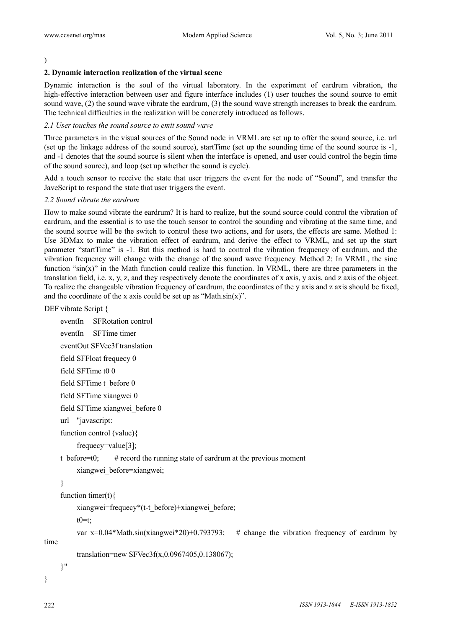# )

#### **2. Dynamic interaction realization of the virtual scene**

Dynamic interaction is the soul of the virtual laboratory. In the experiment of eardrum vibration, the high-effective interaction between user and figure interface includes (1) user touches the sound source to emit sound wave, (2) the sound wave vibrate the eardrum, (3) the sound wave strength increases to break the eardrum. The technical difficulties in the realization will be concretely introduced as follows.

#### *2.1 User touches the sound source to emit sound wave*

Three parameters in the visual sources of the Sound node in VRML are set up to offer the sound source, i.e. url (set up the linkage address of the sound source), startTime (set up the sounding time of the sound source is -1, and -1 denotes that the sound source is silent when the interface is opened, and user could control the begin time of the sound source), and loop (set up whether the sound is cycle).

Add a touch sensor to receive the state that user triggers the event for the node of "Sound", and transfer the JaveScript to respond the state that user triggers the event.

#### *2.2 Sound vibrate the eardrum*

How to make sound vibrate the eardrum? It is hard to realize, but the sound source could control the vibration of eardrum, and the essential is to use the touch sensor to control the sounding and vibrating at the same time, and the sound source will be the switch to control these two actions, and for users, the effects are same. Method 1: Use 3DMax to make the vibration effect of eardrum, and derive the effect to VRML, and set up the start parameter "startTime" is -1. But this method is hard to control the vibration frequency of eardrum, and the vibration frequency will change with the change of the sound wave frequency. Method 2: In VRML, the sine function " $sin(x)$ " in the Math function could realize this function. In VRML, there are three parameters in the translation field, i.e. x, y, z, and they respectively denote the coordinates of x axis, y axis, and z axis of the object. To realize the changeable vibration frequency of eardrum, the coordinates of the y axis and z axis should be fixed, and the coordinate of the x axis could be set up as "Math. $sin(x)$ ".

DEF vibrate Script {

```
 eventIn SFRotation control 
      eventIn SFTime timer 
      eventOut SFVec3f translation 
      field SFFloat frequecy 0 
      field SFTime t0 0 
      field SFTime t_before 0 
      field SFTime xiangwei 0 
      field SFTime xiangwei_before 0 
      url "javascript: 
      function control (value){ 
           frequecy=value[3]; 
     t_before=t0; \# record the running state of eardrum at the previous moment
           xiangwei_before=xiangwei; 
      } 
     function timer(t)\{ xiangwei=frequecy*(t-t_before)+xiangwei_before; 
          t0=t;
          var x=0.04*Math.sin(xiangwei*20)+0.793793; # change the vibration frequency of eardrum by
time 
           translation=new SFVec3f(x,0.0967405,0.138067); 
      }"
```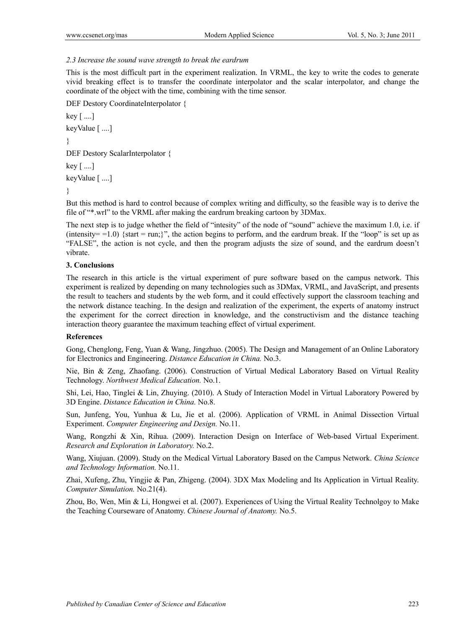## *2.3 Increase the sound wave strength to break the eardrum*

This is the most difficult part in the experiment realization. In VRML, the key to write the codes to generate vivid breaking effect is to transfer the coordinate interpolator and the scalar interpolator, and change the coordinate of the object with the time, combining with the time sensor.

DEF Destory CoordinateInterpolator {

key [ ....] keyValue [ ....] } DEF Destory ScalarInterpolator {  $key$  [ ....] keyValue [ ....] }

But this method is hard to control because of complex writing and difficulty, so the feasible way is to derive the file of "\*.wrl" to the VRML after making the eardrum breaking cartoon by 3DMax.

The next step is to judge whether the field of "intesity" of the node of "sound" achieve the maximum 1.0, i.e. if  $(intensity=1.0)$  {start = run;}", the action begins to perform, and the eardrum break. If the "loop" is set up as "FALSE", the action is not cycle, and then the program adjusts the size of sound, and the eardrum doesn't vibrate.

# **3. Conclusions**

The research in this article is the virtual experiment of pure software based on the campus network. This experiment is realized by depending on many technologies such as 3DMax, VRML, and JavaScript, and presents the result to teachers and students by the web form, and it could effectively support the classroom teaching and the network distance teaching. In the design and realization of the experiment, the experts of anatomy instruct the experiment for the correct direction in knowledge, and the constructivism and the distance teaching interaction theory guarantee the maximum teaching effect of virtual experiment.

## **References**

Gong, Chenglong, Feng, Yuan & Wang, Jingzhuo. (2005). The Design and Management of an Online Laboratory for Electronics and Engineering. *Distance Education in China.* No.3.

Nie, Bin & Zeng, Zhaofang. (2006). Construction of Virtual Medical Laboratory Based on Virtual Reality Technology. *Northwest Medical Education.* No.1.

Shi, Lei, Hao, Tinglei & Lin, Zhuying. (2010). A Study of Interaction Model in Virtual Laboratory Powered by 3D Engine. *Distance Education in China.* No.8.

Sun, Junfeng, You, Yunhua & Lu, Jie et al. (2006). Application of VRML in Animal Dissection Virtual Experiment. *Computer Engineering and Design.* No.11.

Wang, Rongzhi & Xin, Rihua. (2009). Interaction Design on Interface of Web-based Virtual Experiment. *Research and Exploration in Laboratory.* No.2.

Wang, Xiujuan. (2009). Study on the Medical Virtual Laboratory Based on the Campus Network. *China Science and Technology Information.* No.11.

Zhai, Xufeng, Zhu, Yingjie & Pan, Zhigeng. (2004). 3DX Max Modeling and Its Application in Virtual Reality. *Computer Simulation.* No.21(4).

Zhou, Bo, Wen, Min & Li, Hongwei et al. (2007). Experiences of Using the Virtual Reality Technolgoy to Make the Teaching Courseware of Anatomy. *Chinese Journal of Anatomy.* No.5.